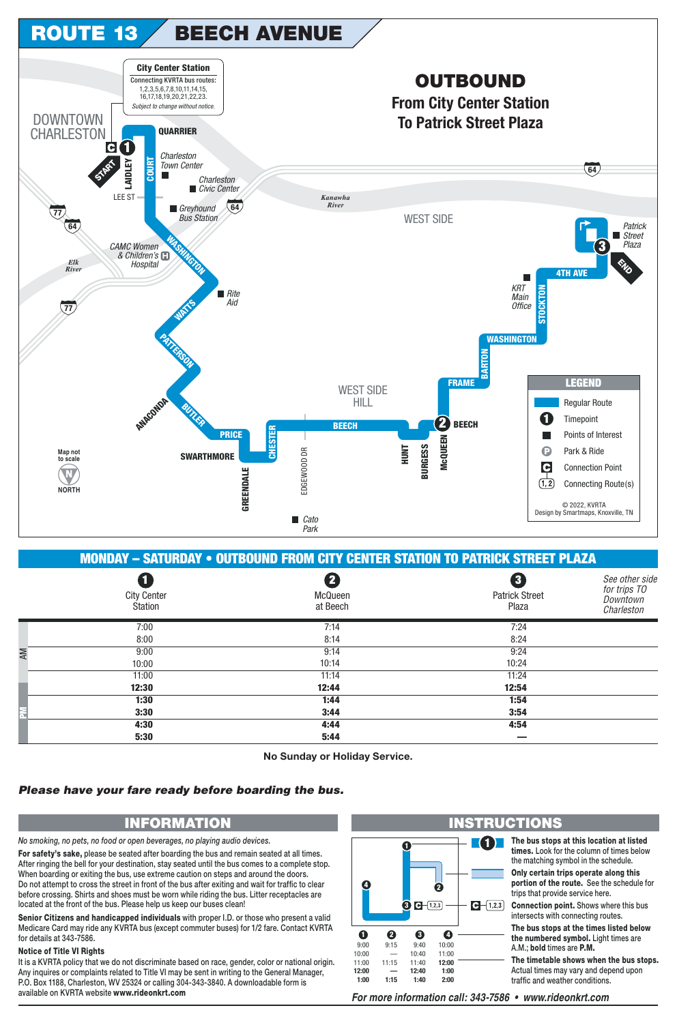

**MONDAY - SATURDAY • OUTBOUND FROM CITY CENTER STATION TO PATRICK STREET PLAZA** a 2 8 See other side for trips TO **City Center** McQueen **Patrick Street** Downtown **Station** at Beech Plaza Charleston  $7:00$  $7:14$  $7.24$  $8:00$  $8.14$  $8.24$  $9:00$  $9:14$  $9:24$  $10.00$  $10.14$  $10.24$  $11:00$  $11:14$  $11:24$ 12:30 12:44 12:54  $1:30$  $1:44$  $1:54$  $3:30$  $3:44$  $3:54$  $4:44$  $4:54$  $4:30$  $5:30$  $5:44$ 

No Sunday or Holiday Service.

## Please have your fare ready before boarding the bus.

## **INFORMATION**

No smoking, no pets, no food or open beverages, no playing audio devices.

For safety's sake, please be seated after boarding the bus and remain seated at all times. After ringing the bell for your destination, stay seated until the bus comes to a complete stop. When boarding or exiting the bus, use extreme caution on steps and around the doors. Do not attempt to cross the street in front of the bus after exiting and wait for traffic to clear before crossing. Shirts and shoes must be worn while riding the bus. Litter receptacles are located at the front of the bus. Please help us keep our buses clean!

Senior Citizens and handicapped individuals with proper I.D. or those who present a valid Medicare Card may ride any KVRTA bus (except commuter buses) for 1/2 fare. Contact KVRTA for details at 343-7586.

## **Notice of Title VI Rights**

It is a KVRTA policy that we do not discriminate based on race, gender, color or national origin. Any inquires or complaints related to Title VI may be sent in writing to the General Manager, P.O. Box 1188, Charleston, WV 25324 or calling 304-343-3840. A downloadable form is available on KVRTA website www.rideonkrt.com



For more information call: 343-7586 • www.rideonkrt.com